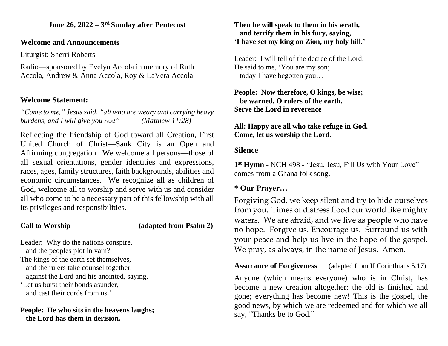#### **June 26, 2022 – 3 rd Sunday after Pentecost**

### **Welcome and Announcements**

Liturgist: Sherri Roberts

Radio—sponsored by Evelyn Accola in memory of Ruth Accola, Andrew & Anna Accola, Roy & LaVera Accola

# **Welcome Statement:**

*"Come to me," Jesus said, "all who are weary and carrying heavy burdens, and I will give you rest" (Matthew 11:28)*

Reflecting the friendship of God toward all Creation, First United Church of Christ—Sauk City is an Open and Affirming congregation. We welcome all persons—those of all sexual orientations, gender identities and expressions, races, ages, family structures, faith backgrounds, abilities and economic circumstances. We recognize all as children of God, welcome all to worship and serve with us and consider all who come to be a necessary part of this fellowship with all its privileges and responsibilities.

## **Call to Worship (adapted from Psalm 2)**

Leader: Why do the nations conspire, and the peoples plot in vain? The kings of the earth set themselves, and the rulers take counsel together, against the Lord and his anointed, saying, 'Let us burst their bonds asunder, and cast their cords from us.'

**People: He who sits in the heavens laughs; the Lord has them in derision.**

#### **Then he will speak to them in his wrath, and terrify them in his fury, saying, 'I have set my king on Zion, my holy hill.'**

Leader: I will tell of the decree of the Lord: He said to me, 'You are my son; today I have begotten you…

#### **People: Now therefore, O kings, be wise; be warned, O rulers of the earth. Serve the Lord in reverence**

**All: Happy are all who take refuge in God. Come, let us worship the Lord.**

# **Silence**

**1 st Hymn** - NCH 498 - "Jesu, Jesu, Fill Us with Your Love" comes from a Ghana folk song.

# **\* Our Prayer…**

Forgiving God, we keep silent and try to hide ourselves from you. Times of distress flood our world like mighty waters. We are afraid, and we live as people who have no hope. Forgive us. Encourage us. Surround us with your peace and help us live in the hope of the gospel. We pray, as always, in the name of Jesus. Amen.

**Assurance of Forgiveness** (adapted from II Corinthians 5.17) Anyone (which means everyone) who is in Christ, has become a new creation altogether: the old is finished and gone; everything has become new! This is the gospel, the good news, by which we are redeemed and for which we all say, "Thanks be to God."